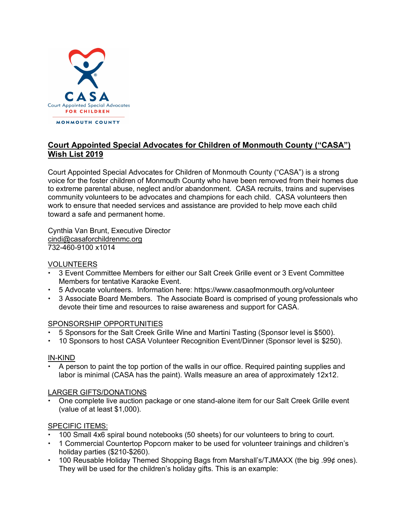

# **Court Appointed Special Advocates for Children of Monmouth County ("CASA") Wish List 2019**

Court Appointed Special Advocates for Children of Monmouth County ("CASA") is a strong voice for the foster children of Monmouth County who have been removed from their homes due to extreme parental abuse, neglect and/or abandonment. CASA recruits, trains and supervises community volunteers to be advocates and champions for each child. CASA volunteers then work to ensure that needed services and assistance are provided to help move each child toward a safe and permanent home.

Cynthia Van Brunt, Executive Director [cindi@casaforchildrenmc.org](mailto:cindi@casaforchildrenmc.org) 732-460-9100 x1014

# VOLUNTEERS

- 3 Event Committee Members for either our Salt Creek Grille event or 3 Event Committee Members for tentative Karaoke Event.
- 5 Advocate volunteers. Information here: <https://www.casaofmonmouth.org/volunteer>
- 3 Associate Board Members. The Associate Board is comprised of young professionals who devote their time and resources to raise awareness and support for CASA.

# SPONSORSHIP OPPORTUNITIES

- 5 Sponsors for the Salt Creek Grille Wine and Martini Tasting (Sponsor level is \$500).
- 10 Sponsors to host CASA Volunteer Recognition Event/Dinner (Sponsor level is \$250).

### IN-KIND

• A person to paint the top portion of the walls in our office. Required painting supplies and labor is minimal (CASA has the paint). Walls measure an area of approximately 12x12.

### LARGER GIFTS/DONATIONS

• One complete live auction package or one stand-alone item for our Salt Creek Grille event (value of at least \$1,000).

# SPECIFIC ITEMS:

- 100 Small 4x6 spiral bound notebooks (50 sheets) for our volunteers to bring to court.
- 1 Commercial Countertop Popcorn maker to be used for volunteer trainings and children's holiday parties (\$210-\$260).
- 100 Reusable Holiday Themed Shopping Bags from Marshall's/TJMAXX (the big .99¢ ones). They will be used for the children's holiday gifts. This is an example: